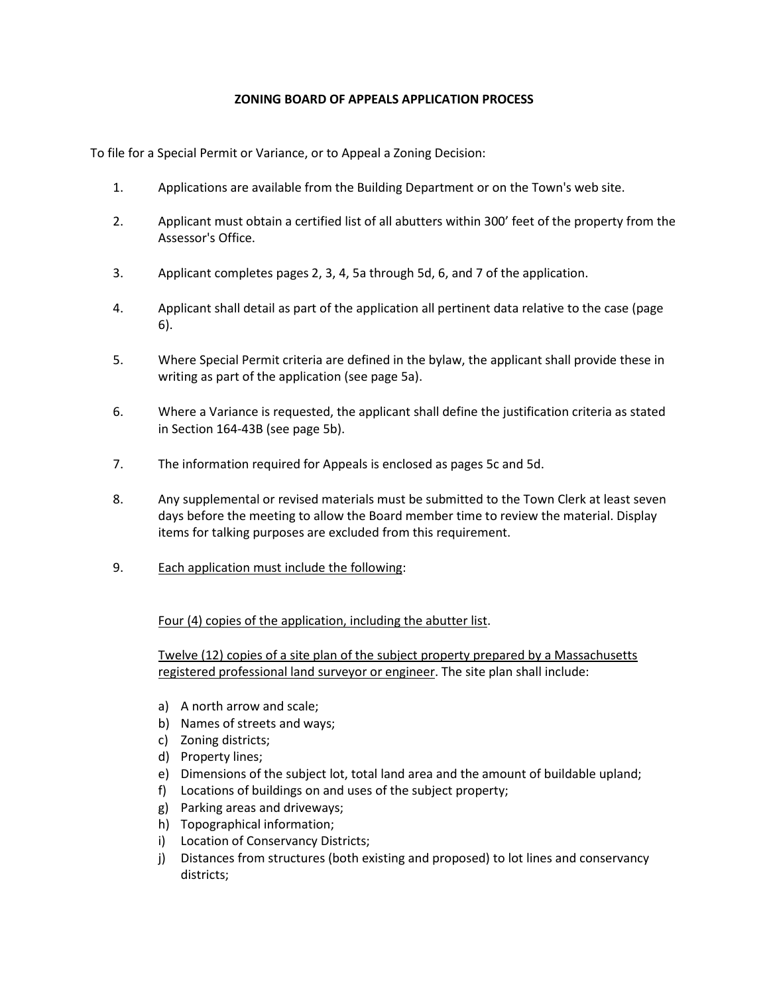## **ZONING BOARD OF APPEALS APPLICATION PROCESS**

To file for a Special Permit or Variance, or to Appeal a Zoning Decision:

- 1. Applications are available from the Building Department or on the Town's web site.
- 2. Applicant must obtain a certified list of all abutters within 300' feet of the property from the Assessor's Office.
- 3. Applicant completes pages 2, 3, 4, 5a through 5d, 6, and 7 of the application.
- 4. Applicant shall detail as part of the application all pertinent data relative to the case (page 6).
- 5. Where Special Permit criteria are defined in the bylaw, the applicant shall provide these in writing as part of the application (see page 5a).
- 6. Where a Variance is requested, the applicant shall define the justification criteria as stated in Section 164-43B (see page 5b).
- 7. The information required for Appeals is enclosed as pages 5c and 5d.
- 8. Any supplemental or revised materials must be submitted to the Town Clerk at least seven days before the meeting to allow the Board member time to review the material. Display items for talking purposes are excluded from this requirement.
- 9. Each application must include the following:

Four (4) copies of the application, including the abutter list.

Twelve (12) copies of a site plan of the subject property prepared by a Massachusetts registered professional land surveyor or engineer. The site plan shall include:

- a) A north arrow and scale;
- b) Names of streets and ways;
- c) Zoning districts;
- d) Property lines;
- e) Dimensions of the subject lot, total land area and the amount of buildable upland;
- f) Locations of buildings on and uses of the subject property;
- g) Parking areas and driveways;
- h) Topographical information;
- i) Location of Conservancy Districts;
- j) Distances from structures (both existing and proposed) to lot lines and conservancy districts;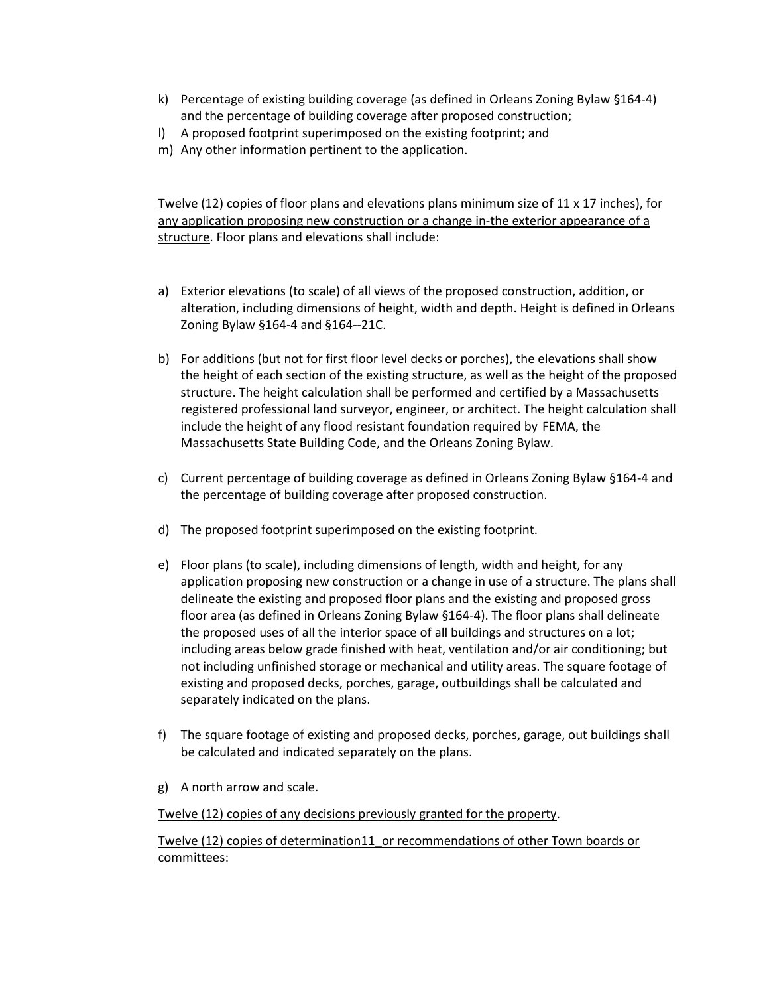- k) Percentage of existing building coverage (as defined in Orleans Zoning Bylaw §164-4) and the percentage of building coverage after proposed construction;
- l) A proposed footprint superimposed on the existing footprint; and
- m) Any other information pertinent to the application.

Twelve (12) copies of floor plans and elevations plans minimum size of 11 x 17 inches), for any application proposing new construction or a change in-the exterior appearance of a structure. Floor plans and elevations shall include:

- a) Exterior elevations (to scale) of all views of the proposed construction, addition, or alteration, including dimensions of height, width and depth. Height is defined in Orleans Zoning Bylaw §164-4 and §164--21C.
- b) For additions (but not for first floor level decks or porches), the elevations shall show the height of each section of the existing structure, as well as the height of the proposed structure. The height calculation shall be performed and certified by a Massachusetts registered professional land surveyor, engineer, or architect. The height calculation shall include the height of any flood resistant foundation required by FEMA, the Massachusetts State Building Code, and the Orleans Zoning Bylaw.
- c) Current percentage of building coverage as defined in Orleans Zoning Bylaw §164-4 and the percentage of building coverage after proposed construction.
- d) The proposed footprint superimposed on the existing footprint.
- e) Floor plans (to scale), including dimensions of length, width and height, for any application proposing new construction or a change in use of a structure. The plans shall delineate the existing and proposed floor plans and the existing and proposed gross floor area (as defined in Orleans Zoning Bylaw §164-4). The floor plans shall delineate the proposed uses of all the interior space of all buildings and structures on a lot; including areas below grade finished with heat, ventilation and/or air conditioning; but not including unfinished storage or mechanical and utility areas. The square footage of existing and proposed decks, porches, garage, outbuildings shall be calculated and separately indicated on the plans.
- f) The square footage of existing and proposed decks, porches, garage, out buildings shall be calculated and indicated separately on the plans.
- g) A north arrow and scale.

Twelve (12) copies of any decisions previously granted for the property.

Twelve (12) copies of determination11\_or recommendations of other Town boards or committees: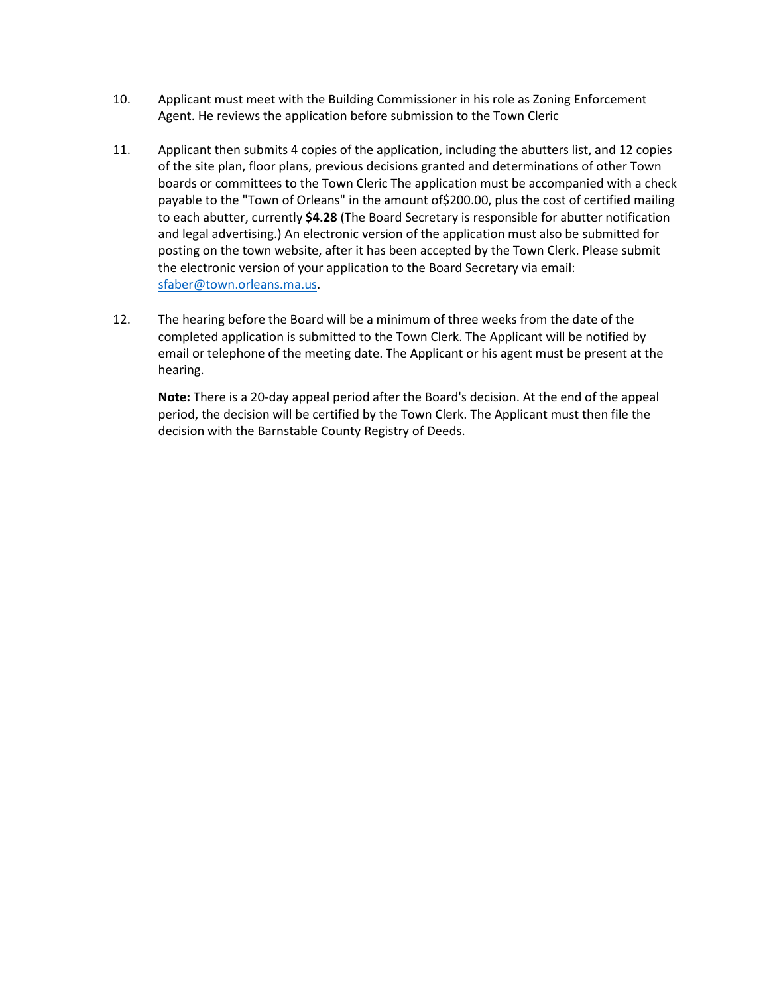- 10. Applicant must meet with the Building Commissioner in his role as Zoning Enforcement Agent. He reviews the application before submission to the Town Cleric
- 11. Applicant then submits 4 copies of the application, including the abutters list, and 12 copies of the site plan, floor plans, previous decisions granted and determinations of other Town boards or committees to the Town Cleric The application must be accompanied with a check payable to the "Town of Orleans" in the amount of\$200.00, plus the cost of certified mailing to each abutter, currently **\$4.28** (The Board Secretary is responsible for abutter notification and legal advertising.) An electronic version of the application must also be submitted for posting on the town website, after it has been accepted by the Town Clerk. Please submit the electronic version of your application to the Board Secretary via email: [sfaber@town.orleans.ma.us.](mailto:sfaber@town.orleans.ma.us)
- 12. The hearing before the Board will be a minimum of three weeks from the date of the completed application is submitted to the Town Clerk. The Applicant will be notified by email or telephone of the meeting date. The Applicant or his agent must be present at the hearing.

**Note:** There is a 20-day appeal period after the Board's decision. At the end of the appeal period, the decision will be certified by the Town Clerk. The Applicant must then file the decision with the Barnstable County Registry of Deeds.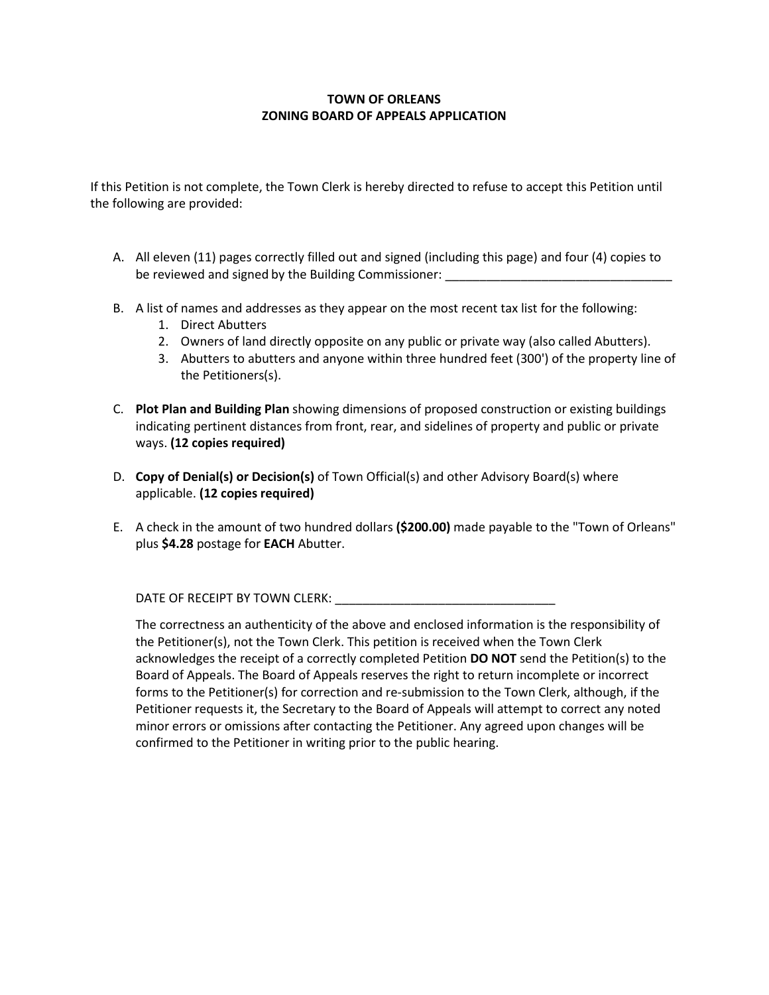## **TOWN OF ORLEANS ZONING BOARD OF APPEALS APPLICATION**

If this Petition is not complete, the Town Clerk is hereby directed to refuse to accept this Petition until the following are provided:

- A. All eleven (11) pages correctly filled out and signed (including this page) and four (4) copies to be reviewed and signed by the Building Commissioner:
- B. A list of names and addresses as they appear on the most recent tax list for the following:
	- 1. Direct Abutters
	- 2. Owners of land directly opposite on any public or private way (also called Abutters).
	- 3. Abutters to abutters and anyone within three hundred feet (300') of the property line of the Petitioners(s).
- C. **Plot Plan and Building Plan** showing dimensions of proposed construction or existing buildings indicating pertinent distances from front, rear, and sidelines of property and public or private ways. **(12 copies required)**
- D. **Copy of Denial(s) or Decision(s)** of Town Official(s) and other Advisory Board(s) where applicable. **(12 copies required)**
- E. A check in the amount of two hundred dollars **(\$200.00)** made payable to the "Town of Orleans" plus **\$4.28** postage for **EACH** Abutter.

DATE OF RECEIPT BY TOWN CLERK:

The correctness an authenticity of the above and enclosed information is the responsibility of the Petitioner(s), not the Town Clerk. This petition is received when the Town Clerk acknowledges the receipt of a correctly completed Petition **DO NOT** send the Petition(s) to the Board of Appeals. The Board of Appeals reserves the right to return incomplete or incorrect forms to the Petitioner(s) for correction and re-submission to the Town Clerk, although, if the Petitioner requests it, the Secretary to the Board of Appeals will attempt to correct any noted minor errors or omissions after contacting the Petitioner. Any agreed upon changes will be confirmed to the Petitioner in writing prior to the public hearing.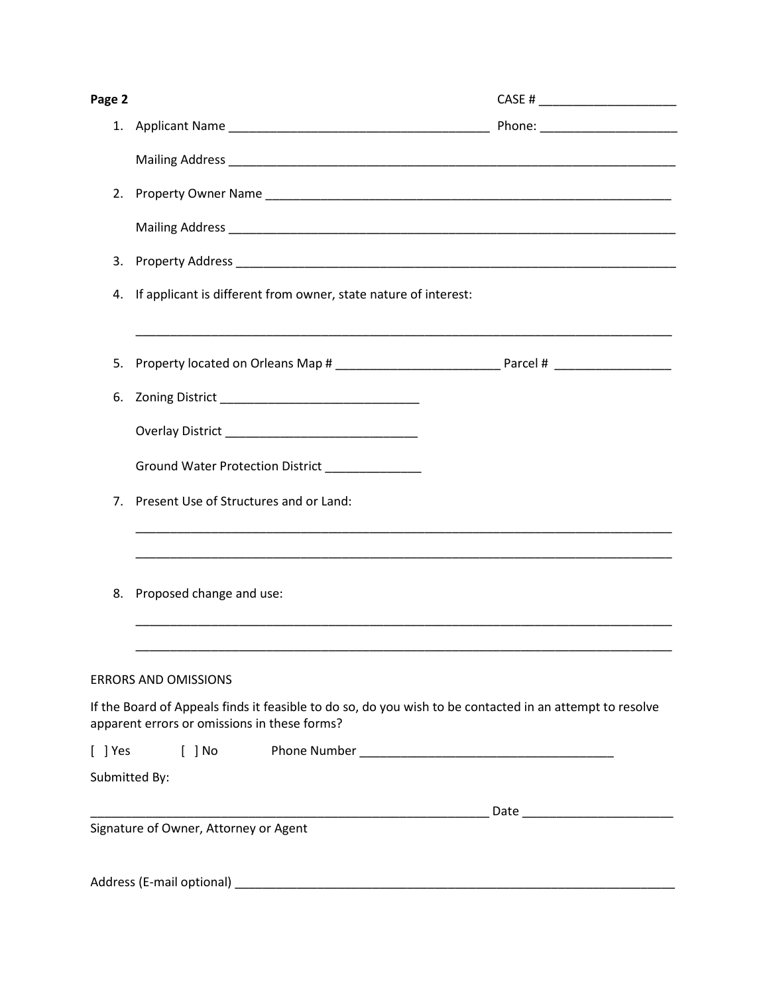| Page 2      |                                                                                                                                         |  |  |  |  |
|-------------|-----------------------------------------------------------------------------------------------------------------------------------------|--|--|--|--|
|             |                                                                                                                                         |  |  |  |  |
|             |                                                                                                                                         |  |  |  |  |
|             |                                                                                                                                         |  |  |  |  |
|             |                                                                                                                                         |  |  |  |  |
| 3.          |                                                                                                                                         |  |  |  |  |
| 4.          | If applicant is different from owner, state nature of interest:                                                                         |  |  |  |  |
| 5.          |                                                                                                                                         |  |  |  |  |
| 6.          | Zoning District __________________________________                                                                                      |  |  |  |  |
|             |                                                                                                                                         |  |  |  |  |
|             | Ground Water Protection District _____________                                                                                          |  |  |  |  |
| $7_{\cdot}$ | Present Use of Structures and or Land:                                                                                                  |  |  |  |  |
| 8.          | Proposed change and use:                                                                                                                |  |  |  |  |
|             | <b>ERRORS AND OMISSIONS</b><br>If the Board of Appeals finds it feasible to do so, do you wish to be contacted in an attempt to resolve |  |  |  |  |
|             | apparent errors or omissions in these forms?                                                                                            |  |  |  |  |
|             | Submitted By:                                                                                                                           |  |  |  |  |
|             |                                                                                                                                         |  |  |  |  |
|             | Signature of Owner, Attorney or Agent                                                                                                   |  |  |  |  |
|             |                                                                                                                                         |  |  |  |  |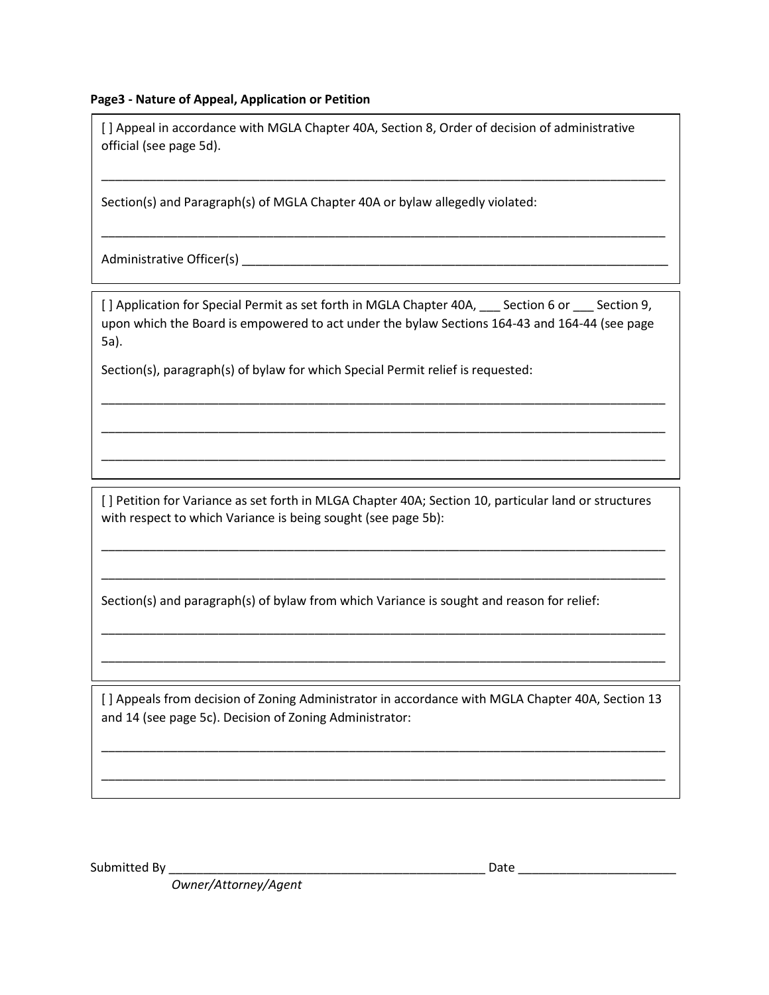## **Page3 - Nature of Appeal, Application or Petition**

[ ] Appeal in accordance with MGLA Chapter 40A, Section 8, Order of decision of administrative official (see page 5d).

\_\_\_\_\_\_\_\_\_\_\_\_\_\_\_\_\_\_\_\_\_\_\_\_\_\_\_\_\_\_\_\_\_\_\_\_\_\_\_\_\_\_\_\_\_\_\_\_\_\_\_\_\_\_\_\_\_\_\_\_\_\_\_\_\_\_\_\_\_\_\_\_\_\_\_\_\_\_\_\_\_\_

\_\_\_\_\_\_\_\_\_\_\_\_\_\_\_\_\_\_\_\_\_\_\_\_\_\_\_\_\_\_\_\_\_\_\_\_\_\_\_\_\_\_\_\_\_\_\_\_\_\_\_\_\_\_\_\_\_\_\_\_\_\_\_\_\_\_\_\_\_\_\_\_\_\_\_\_\_\_\_\_\_\_

Section(s) and Paragraph(s) of MGLA Chapter 40A or bylaw allegedly violated:

Administrative Officer(s) \_\_\_\_\_\_\_\_\_\_\_\_\_\_\_\_\_\_\_\_\_\_\_\_\_\_\_\_\_\_\_\_\_\_\_\_\_\_\_\_\_\_\_\_\_\_\_\_\_\_\_\_\_\_\_\_\_\_\_\_\_\_

[] Application for Special Permit as set forth in MGLA Chapter 40A, Section 6 or Section 9, upon which the Board is empowered to act under the bylaw Sections 164-43 and 164-44 (see page 5a).

\_\_\_\_\_\_\_\_\_\_\_\_\_\_\_\_\_\_\_\_\_\_\_\_\_\_\_\_\_\_\_\_\_\_\_\_\_\_\_\_\_\_\_\_\_\_\_\_\_\_\_\_\_\_\_\_\_\_\_\_\_\_\_\_\_\_\_\_\_\_\_\_\_\_\_\_\_\_\_\_\_\_

\_\_\_\_\_\_\_\_\_\_\_\_\_\_\_\_\_\_\_\_\_\_\_\_\_\_\_\_\_\_\_\_\_\_\_\_\_\_\_\_\_\_\_\_\_\_\_\_\_\_\_\_\_\_\_\_\_\_\_\_\_\_\_\_\_\_\_\_\_\_\_\_\_\_\_\_\_\_\_\_\_\_

\_\_\_\_\_\_\_\_\_\_\_\_\_\_\_\_\_\_\_\_\_\_\_\_\_\_\_\_\_\_\_\_\_\_\_\_\_\_\_\_\_\_\_\_\_\_\_\_\_\_\_\_\_\_\_\_\_\_\_\_\_\_\_\_\_\_\_\_\_\_\_\_\_\_\_\_\_\_\_\_\_\_

Section(s), paragraph(s) of bylaw for which Special Permit relief is requested:

[ ] Petition for Variance as set forth in MLGA Chapter 40A; Section 10, particular land or structures with respect to which Variance is being sought (see page 5b):

\_\_\_\_\_\_\_\_\_\_\_\_\_\_\_\_\_\_\_\_\_\_\_\_\_\_\_\_\_\_\_\_\_\_\_\_\_\_\_\_\_\_\_\_\_\_\_\_\_\_\_\_\_\_\_\_\_\_\_\_\_\_\_\_\_\_\_\_\_\_\_\_\_\_\_\_\_\_\_\_\_\_

\_\_\_\_\_\_\_\_\_\_\_\_\_\_\_\_\_\_\_\_\_\_\_\_\_\_\_\_\_\_\_\_\_\_\_\_\_\_\_\_\_\_\_\_\_\_\_\_\_\_\_\_\_\_\_\_\_\_\_\_\_\_\_\_\_\_\_\_\_\_\_\_\_\_\_\_\_\_\_\_\_\_

\_\_\_\_\_\_\_\_\_\_\_\_\_\_\_\_\_\_\_\_\_\_\_\_\_\_\_\_\_\_\_\_\_\_\_\_\_\_\_\_\_\_\_\_\_\_\_\_\_\_\_\_\_\_\_\_\_\_\_\_\_\_\_\_\_\_\_\_\_\_\_\_\_\_\_\_\_\_\_\_\_\_

\_\_\_\_\_\_\_\_\_\_\_\_\_\_\_\_\_\_\_\_\_\_\_\_\_\_\_\_\_\_\_\_\_\_\_\_\_\_\_\_\_\_\_\_\_\_\_\_\_\_\_\_\_\_\_\_\_\_\_\_\_\_\_\_\_\_\_\_\_\_\_\_\_\_\_\_\_\_\_\_\_\_

Section(s) and paragraph(s) of bylaw from which Variance is sought and reason for relief:

[ ] Appeals from decision of Zoning Administrator in accordance with MGLA Chapter 40A, Section 13 and 14 (see page 5c). Decision of Zoning Administrator:

\_\_\_\_\_\_\_\_\_\_\_\_\_\_\_\_\_\_\_\_\_\_\_\_\_\_\_\_\_\_\_\_\_\_\_\_\_\_\_\_\_\_\_\_\_\_\_\_\_\_\_\_\_\_\_\_\_\_\_\_\_\_\_\_\_\_\_\_\_\_\_\_\_\_\_\_\_\_\_\_\_\_

\_\_\_\_\_\_\_\_\_\_\_\_\_\_\_\_\_\_\_\_\_\_\_\_\_\_\_\_\_\_\_\_\_\_\_\_\_\_\_\_\_\_\_\_\_\_\_\_\_\_\_\_\_\_\_\_\_\_\_\_\_\_\_\_\_\_\_\_\_\_\_\_\_\_\_\_\_\_\_\_\_\_

Submitted By \_\_\_\_\_\_\_\_\_\_\_\_\_\_\_\_\_\_\_\_\_\_\_\_\_\_\_\_\_\_\_\_\_\_\_\_\_\_\_\_\_\_\_\_\_\_ Date \_\_\_\_\_\_\_\_\_\_\_\_\_\_\_\_\_\_\_\_\_\_\_

*Owner/Attorney/Agent*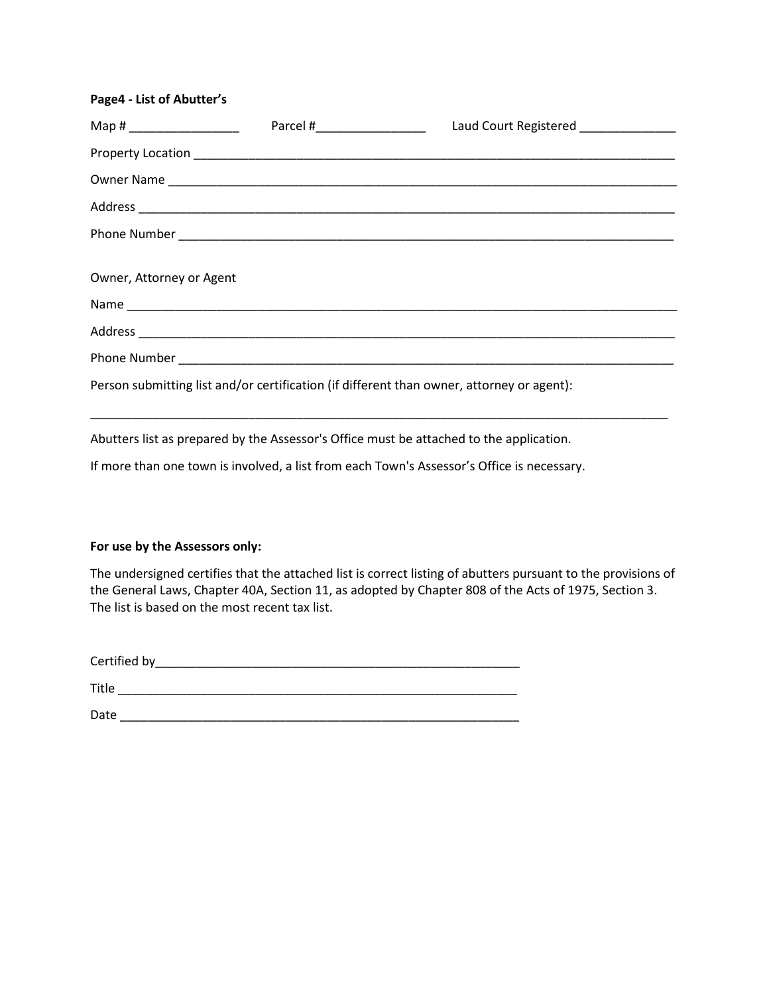#### **Page4 - List of Abutter's**

| Map # ________________________                                                            |  | Laud Court Registered ______________ |  |  |
|-------------------------------------------------------------------------------------------|--|--------------------------------------|--|--|
|                                                                                           |  |                                      |  |  |
|                                                                                           |  |                                      |  |  |
|                                                                                           |  |                                      |  |  |
|                                                                                           |  |                                      |  |  |
| Owner, Attorney or Agent                                                                  |  |                                      |  |  |
|                                                                                           |  |                                      |  |  |
|                                                                                           |  |                                      |  |  |
|                                                                                           |  |                                      |  |  |
| Person submitting list and/or certification (if different than owner, attorney or agent): |  |                                      |  |  |

Abutters list as prepared by the Assessor's Office must be attached to the application.

If more than one town is involved, a list from each Town's Assessor's Office is necessary.

#### **For use by the Assessors only:**

The undersigned certifies that the attached list is correct listing of abutters pursuant to the provisions of the General Laws, Chapter 40A, Section 11, as adopted by Chapter 808 of the Acts of 1975, Section 3. The list is based on the most recent tax list.

| Certified by |  |  |  |
|--------------|--|--|--|
|              |  |  |  |

Title \_\_\_\_\_\_\_\_\_\_\_\_\_\_\_\_\_\_\_\_\_\_\_\_\_\_\_\_\_\_\_\_\_\_\_\_\_\_\_\_\_\_\_\_\_\_\_\_\_\_\_\_\_\_\_\_\_\_ Date \_\_\_\_\_\_\_\_\_\_\_\_\_\_\_\_\_\_\_\_\_\_\_\_\_\_\_\_\_\_\_\_\_\_\_\_\_\_\_\_\_\_\_\_\_\_\_\_\_\_\_\_\_\_\_\_\_\_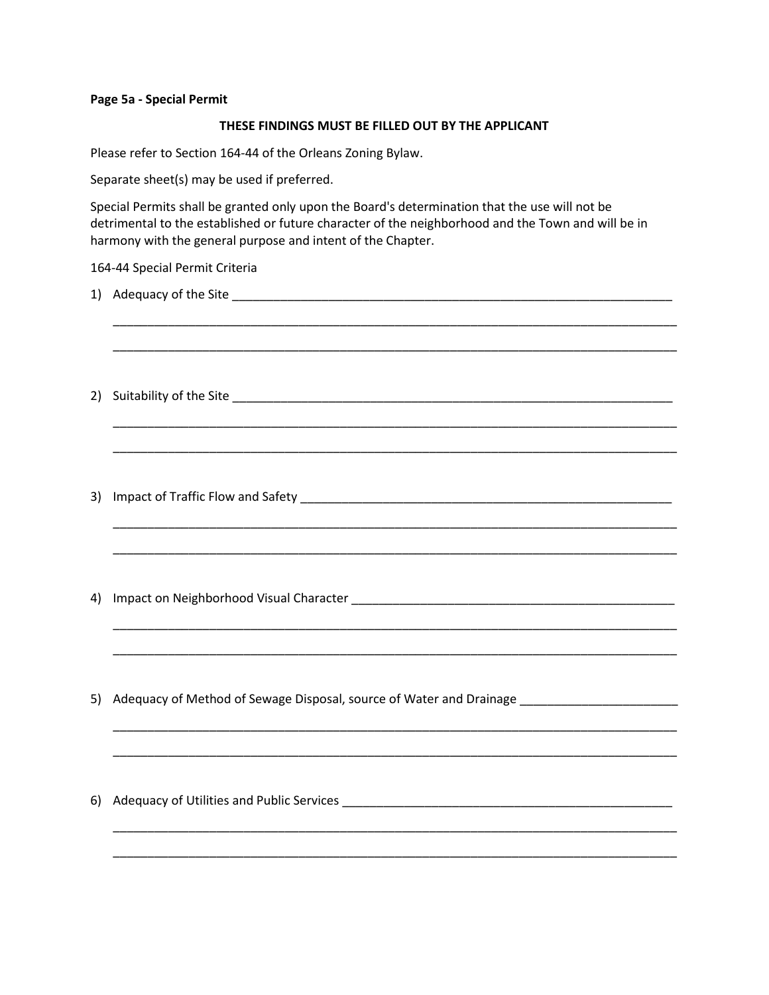#### **Page 5a - Special Permit**

#### **THESE FINDINGS MUST BE FILLED OUT BY THE APPLICANT**

Please refer to Section 164-44 of the Orleans Zoning Bylaw.

Separate sheet(s) may be used if preferred.

Special Permits shall be granted only upon the Board's determination that the use will not be detrimental to the established or future character of the neighborhood and the Town and will be in harmony with the general purpose and intent of the Chapter.

\_\_\_\_\_\_\_\_\_\_\_\_\_\_\_\_\_\_\_\_\_\_\_\_\_\_\_\_\_\_\_\_\_\_\_\_\_\_\_\_\_\_\_\_\_\_\_\_\_\_\_\_\_\_\_\_\_\_\_\_\_\_\_\_\_\_\_\_\_\_\_\_\_\_\_\_\_\_\_\_\_\_

\_\_\_\_\_\_\_\_\_\_\_\_\_\_\_\_\_\_\_\_\_\_\_\_\_\_\_\_\_\_\_\_\_\_\_\_\_\_\_\_\_\_\_\_\_\_\_\_\_\_\_\_\_\_\_\_\_\_\_\_\_\_\_\_\_\_\_\_\_\_\_\_\_\_\_\_\_\_\_\_\_\_

\_\_\_\_\_\_\_\_\_\_\_\_\_\_\_\_\_\_\_\_\_\_\_\_\_\_\_\_\_\_\_\_\_\_\_\_\_\_\_\_\_\_\_\_\_\_\_\_\_\_\_\_\_\_\_\_\_\_\_\_\_\_\_\_\_\_\_\_\_\_\_\_\_\_\_\_\_\_\_\_\_\_

\_\_\_\_\_\_\_\_\_\_\_\_\_\_\_\_\_\_\_\_\_\_\_\_\_\_\_\_\_\_\_\_\_\_\_\_\_\_\_\_\_\_\_\_\_\_\_\_\_\_\_\_\_\_\_\_\_\_\_\_\_\_\_\_\_\_\_\_\_\_\_\_\_\_\_\_\_\_\_\_\_\_

\_\_\_\_\_\_\_\_\_\_\_\_\_\_\_\_\_\_\_\_\_\_\_\_\_\_\_\_\_\_\_\_\_\_\_\_\_\_\_\_\_\_\_\_\_\_\_\_\_\_\_\_\_\_\_\_\_\_\_\_\_\_\_\_\_\_\_\_\_\_\_\_\_\_\_\_\_\_\_\_\_\_

\_\_\_\_\_\_\_\_\_\_\_\_\_\_\_\_\_\_\_\_\_\_\_\_\_\_\_\_\_\_\_\_\_\_\_\_\_\_\_\_\_\_\_\_\_\_\_\_\_\_\_\_\_\_\_\_\_\_\_\_\_\_\_\_\_\_\_\_\_\_\_\_\_\_\_\_\_\_\_\_\_\_

\_\_\_\_\_\_\_\_\_\_\_\_\_\_\_\_\_\_\_\_\_\_\_\_\_\_\_\_\_\_\_\_\_\_\_\_\_\_\_\_\_\_\_\_\_\_\_\_\_\_\_\_\_\_\_\_\_\_\_\_\_\_\_\_\_\_\_\_\_\_\_\_\_\_\_\_\_\_\_\_\_\_

\_\_\_\_\_\_\_\_\_\_\_\_\_\_\_\_\_\_\_\_\_\_\_\_\_\_\_\_\_\_\_\_\_\_\_\_\_\_\_\_\_\_\_\_\_\_\_\_\_\_\_\_\_\_\_\_\_\_\_\_\_\_\_\_\_\_\_\_\_\_\_\_\_\_\_\_\_\_\_\_\_\_

\_\_\_\_\_\_\_\_\_\_\_\_\_\_\_\_\_\_\_\_\_\_\_\_\_\_\_\_\_\_\_\_\_\_\_\_\_\_\_\_\_\_\_\_\_\_\_\_\_\_\_\_\_\_\_\_\_\_\_\_\_\_\_\_\_\_\_\_\_\_\_\_\_\_\_\_\_\_\_\_\_\_

\_\_\_\_\_\_\_\_\_\_\_\_\_\_\_\_\_\_\_\_\_\_\_\_\_\_\_\_\_\_\_\_\_\_\_\_\_\_\_\_\_\_\_\_\_\_\_\_\_\_\_\_\_\_\_\_\_\_\_\_\_\_\_\_\_\_\_\_\_\_\_\_\_\_\_\_\_\_\_\_\_\_

\_\_\_\_\_\_\_\_\_\_\_\_\_\_\_\_\_\_\_\_\_\_\_\_\_\_\_\_\_\_\_\_\_\_\_\_\_\_\_\_\_\_\_\_\_\_\_\_\_\_\_\_\_\_\_\_\_\_\_\_\_\_\_\_\_\_\_\_\_\_\_\_\_\_\_\_\_\_\_\_\_\_

\_\_\_\_\_\_\_\_\_\_\_\_\_\_\_\_\_\_\_\_\_\_\_\_\_\_\_\_\_\_\_\_\_\_\_\_\_\_\_\_\_\_\_\_\_\_\_\_\_\_\_\_\_\_\_\_\_\_\_\_\_\_\_\_\_\_\_\_\_\_\_\_\_\_\_\_\_\_\_\_\_\_

#### 164-44 Special Permit Criteria

- 1) Adequacy of the Site \_\_\_\_\_\_\_\_\_\_\_\_\_\_\_\_\_\_\_\_\_\_\_\_\_\_\_\_\_\_\_\_\_\_\_\_\_\_\_\_\_\_\_\_\_\_\_\_\_\_\_\_\_\_\_\_\_\_\_\_\_\_\_\_
- 2) Suitability of the Site \_\_\_\_\_\_\_\_\_\_\_\_\_\_\_\_\_\_\_\_\_\_\_\_\_\_\_\_\_\_\_\_\_\_\_\_\_\_\_\_\_\_\_\_\_\_\_\_\_\_\_\_\_\_\_\_\_\_\_\_\_\_\_\_
- 3) Impact of Traffic Flow and Safety \_\_\_\_\_\_\_\_\_\_\_\_\_\_\_\_\_\_\_\_\_\_\_\_\_\_\_\_\_\_\_\_\_\_\_\_\_\_\_\_\_\_\_\_\_\_\_\_\_\_\_\_\_\_
- 4) Impact on Neighborhood Visual Character \_\_\_\_\_\_\_\_\_\_\_\_\_\_\_\_\_\_\_\_\_\_\_\_\_\_\_\_\_\_\_\_\_\_\_\_\_\_\_\_\_\_\_\_\_\_\_
- 5) Adequacy of Method of Sewage Disposal, source of Water and Drainage \_\_\_\_\_\_\_\_\_\_\_\_\_\_\_\_\_\_\_\_\_\_\_
- 6) Adequacy of Utilities and Public Services \_\_\_\_\_\_\_\_\_\_\_\_\_\_\_\_\_\_\_\_\_\_\_\_\_\_\_\_\_\_\_\_\_\_\_\_\_\_\_\_\_\_\_\_\_\_\_\_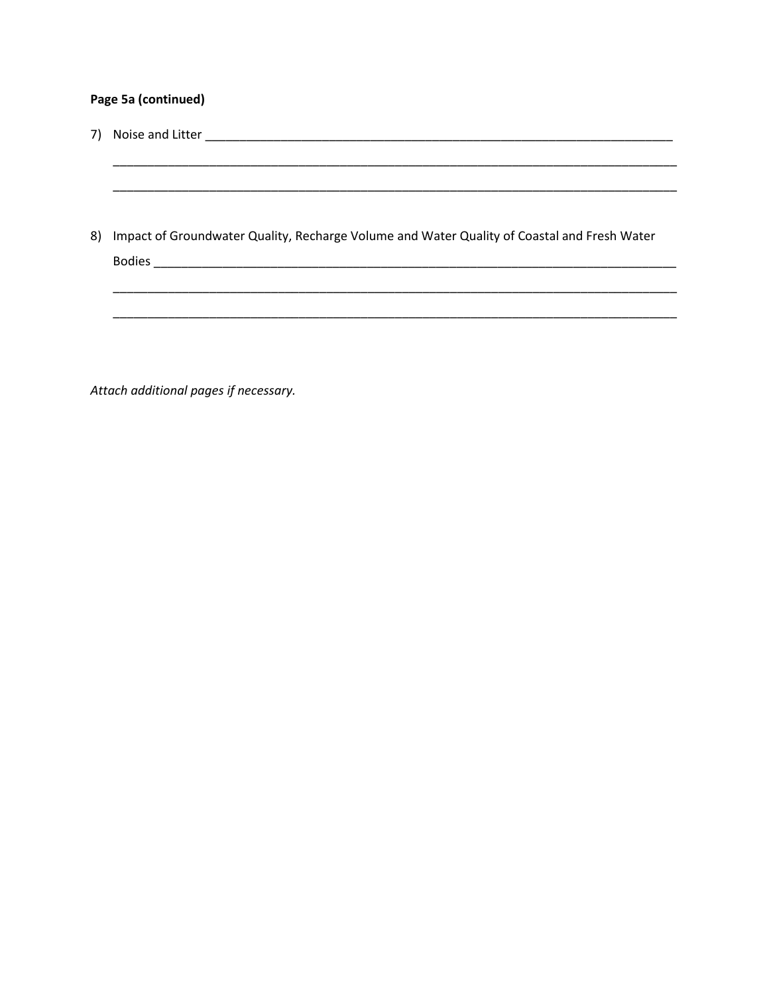# Page 5a (continued)

| 7) |                                                                                             |
|----|---------------------------------------------------------------------------------------------|
|    |                                                                                             |
| 8) | Impact of Groundwater Quality, Recharge Volume and Water Quality of Coastal and Fresh Water |
|    |                                                                                             |
|    |                                                                                             |
|    |                                                                                             |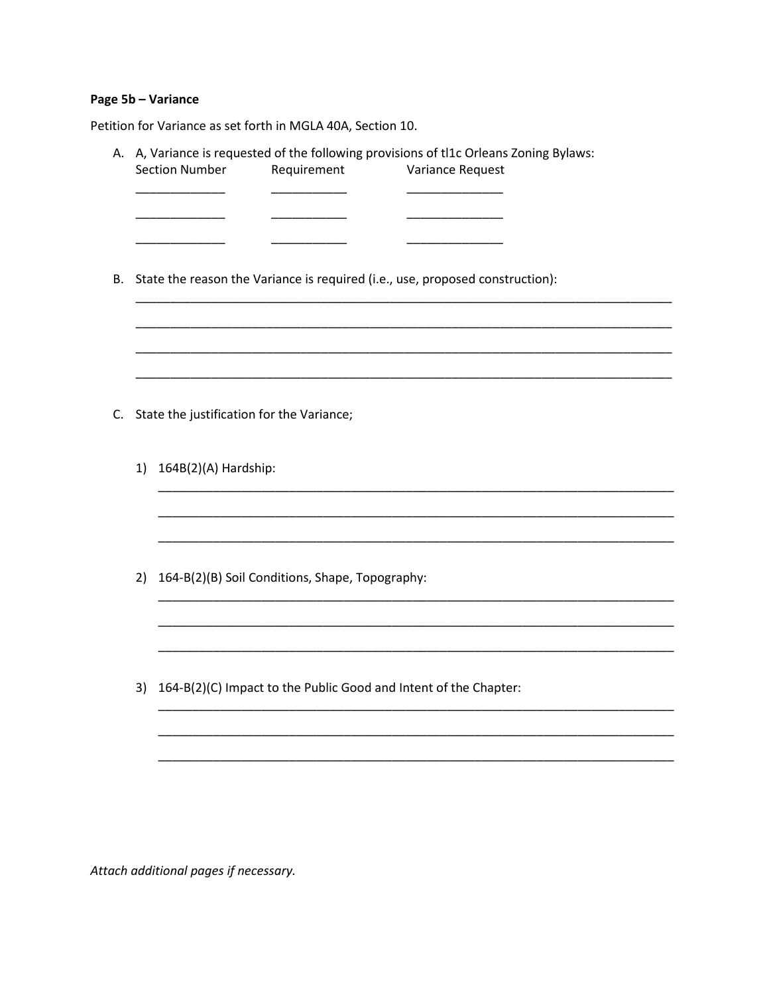# Page 5b - Variance

Petition for Variance as set forth in MGLA 40A, Section 10.

|    | <b>Section Number</b>                           | Requirement                               | A, Variance is requested of the following provisions of the Orleans Zoning Bylaws:<br>Variance Request |  |  |
|----|-------------------------------------------------|-------------------------------------------|--------------------------------------------------------------------------------------------------------|--|--|
|    |                                                 |                                           |                                                                                                        |  |  |
|    |                                                 |                                           |                                                                                                        |  |  |
|    |                                                 |                                           | State the reason the Variance is required (i.e., use, proposed construction):                          |  |  |
|    |                                                 |                                           |                                                                                                        |  |  |
|    |                                                 |                                           |                                                                                                        |  |  |
|    |                                                 |                                           |                                                                                                        |  |  |
|    |                                                 |                                           |                                                                                                        |  |  |
|    |                                                 | State the justification for the Variance; |                                                                                                        |  |  |
| 1) | 164B(2)(A) Hardship:                            |                                           |                                                                                                        |  |  |
|    |                                                 |                                           |                                                                                                        |  |  |
|    |                                                 |                                           |                                                                                                        |  |  |
|    |                                                 |                                           |                                                                                                        |  |  |
| 2) | 164-B(2)(B) Soil Conditions, Shape, Topography: |                                           |                                                                                                        |  |  |
|    |                                                 |                                           |                                                                                                        |  |  |
|    |                                                 |                                           |                                                                                                        |  |  |
|    |                                                 |                                           |                                                                                                        |  |  |
| 3) |                                                 |                                           | 164-B(2)(C) Impact to the Public Good and Intent of the Chapter:                                       |  |  |
|    |                                                 |                                           |                                                                                                        |  |  |
|    |                                                 |                                           |                                                                                                        |  |  |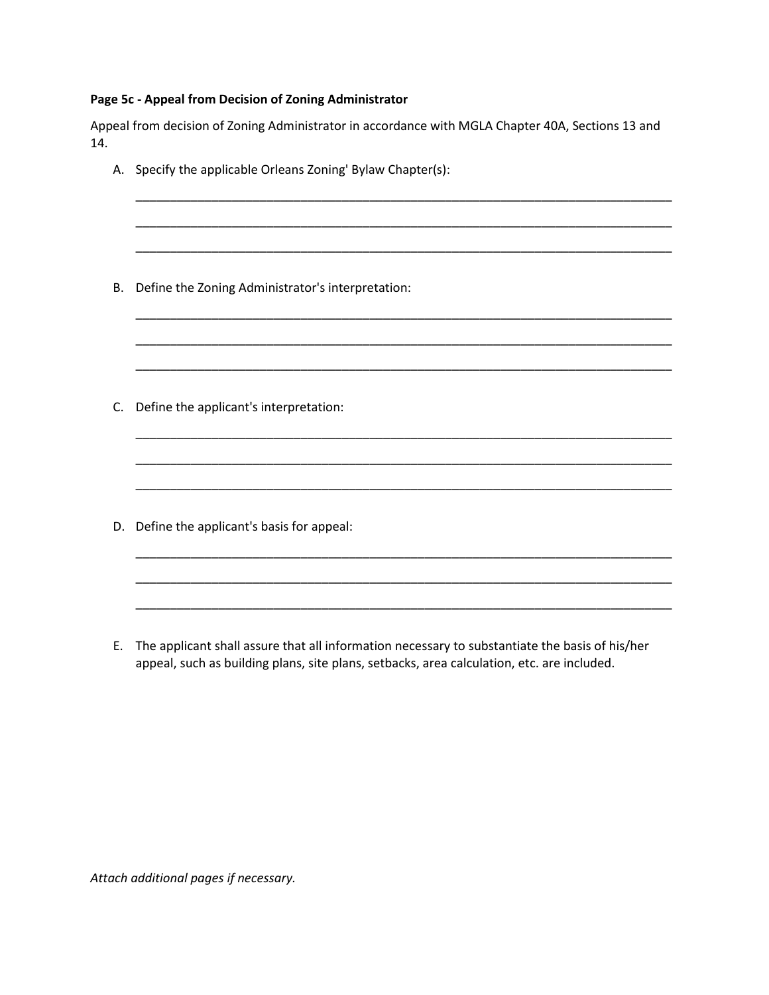## **Page 5c - Appeal from Decision of Zoning Administrator**

Appeal from decision of Zoning Administrator in accordance with MGLA Chapter 40A, Sections 13 and 14.

- A. Specify the applicable Orleans Zoning' Bylaw Chapter(s): \_\_\_\_\_\_\_\_\_\_\_\_\_\_\_\_\_\_\_\_\_\_\_\_\_\_\_\_\_\_\_\_\_\_\_\_\_\_\_\_\_\_\_\_\_\_\_\_\_\_\_\_\_\_\_\_\_\_\_\_\_\_\_\_\_\_\_\_\_\_\_\_\_\_\_\_\_\_ \_\_\_\_\_\_\_\_\_\_\_\_\_\_\_\_\_\_\_\_\_\_\_\_\_\_\_\_\_\_\_\_\_\_\_\_\_\_\_\_\_\_\_\_\_\_\_\_\_\_\_\_\_\_\_\_\_\_\_\_\_\_\_\_\_\_\_\_\_\_\_\_\_\_\_\_\_\_ \_\_\_\_\_\_\_\_\_\_\_\_\_\_\_\_\_\_\_\_\_\_\_\_\_\_\_\_\_\_\_\_\_\_\_\_\_\_\_\_\_\_\_\_\_\_\_\_\_\_\_\_\_\_\_\_\_\_\_\_\_\_\_\_\_\_\_\_\_\_\_\_\_\_\_\_\_\_ B. Define the Zoning Administrator's interpretation: \_\_\_\_\_\_\_\_\_\_\_\_\_\_\_\_\_\_\_\_\_\_\_\_\_\_\_\_\_\_\_\_\_\_\_\_\_\_\_\_\_\_\_\_\_\_\_\_\_\_\_\_\_\_\_\_\_\_\_\_\_\_\_\_\_\_\_\_\_\_\_\_\_\_\_\_\_\_ \_\_\_\_\_\_\_\_\_\_\_\_\_\_\_\_\_\_\_\_\_\_\_\_\_\_\_\_\_\_\_\_\_\_\_\_\_\_\_\_\_\_\_\_\_\_\_\_\_\_\_\_\_\_\_\_\_\_\_\_\_\_\_\_\_\_\_\_\_\_\_\_\_\_\_\_\_\_ \_\_\_\_\_\_\_\_\_\_\_\_\_\_\_\_\_\_\_\_\_\_\_\_\_\_\_\_\_\_\_\_\_\_\_\_\_\_\_\_\_\_\_\_\_\_\_\_\_\_\_\_\_\_\_\_\_\_\_\_\_\_\_\_\_\_\_\_\_\_\_\_\_\_\_\_\_\_ C. Define the applicant's interpretation: \_\_\_\_\_\_\_\_\_\_\_\_\_\_\_\_\_\_\_\_\_\_\_\_\_\_\_\_\_\_\_\_\_\_\_\_\_\_\_\_\_\_\_\_\_\_\_\_\_\_\_\_\_\_\_\_\_\_\_\_\_\_\_\_\_\_\_\_\_\_\_\_\_\_\_\_\_\_ \_\_\_\_\_\_\_\_\_\_\_\_\_\_\_\_\_\_\_\_\_\_\_\_\_\_\_\_\_\_\_\_\_\_\_\_\_\_\_\_\_\_\_\_\_\_\_\_\_\_\_\_\_\_\_\_\_\_\_\_\_\_\_\_\_\_\_\_\_\_\_\_\_\_\_\_\_\_ \_\_\_\_\_\_\_\_\_\_\_\_\_\_\_\_\_\_\_\_\_\_\_\_\_\_\_\_\_\_\_\_\_\_\_\_\_\_\_\_\_\_\_\_\_\_\_\_\_\_\_\_\_\_\_\_\_\_\_\_\_\_\_\_\_\_\_\_\_\_\_\_\_\_\_\_\_\_ D. Define the applicant's basis for appeal: \_\_\_\_\_\_\_\_\_\_\_\_\_\_\_\_\_\_\_\_\_\_\_\_\_\_\_\_\_\_\_\_\_\_\_\_\_\_\_\_\_\_\_\_\_\_\_\_\_\_\_\_\_\_\_\_\_\_\_\_\_\_\_\_\_\_\_\_\_\_\_\_\_\_\_\_\_\_ \_\_\_\_\_\_\_\_\_\_\_\_\_\_\_\_\_\_\_\_\_\_\_\_\_\_\_\_\_\_\_\_\_\_\_\_\_\_\_\_\_\_\_\_\_\_\_\_\_\_\_\_\_\_\_\_\_\_\_\_\_\_\_\_\_\_\_\_\_\_\_\_\_\_\_\_\_\_ \_\_\_\_\_\_\_\_\_\_\_\_\_\_\_\_\_\_\_\_\_\_\_\_\_\_\_\_\_\_\_\_\_\_\_\_\_\_\_\_\_\_\_\_\_\_\_\_\_\_\_\_\_\_\_\_\_\_\_\_\_\_\_\_\_\_\_\_\_\_\_\_\_\_\_\_\_\_
	- E. The applicant shall assure that all information necessary to substantiate the basis of his/her appeal, such as building plans, site plans, setbacks, area calculation, etc. are included.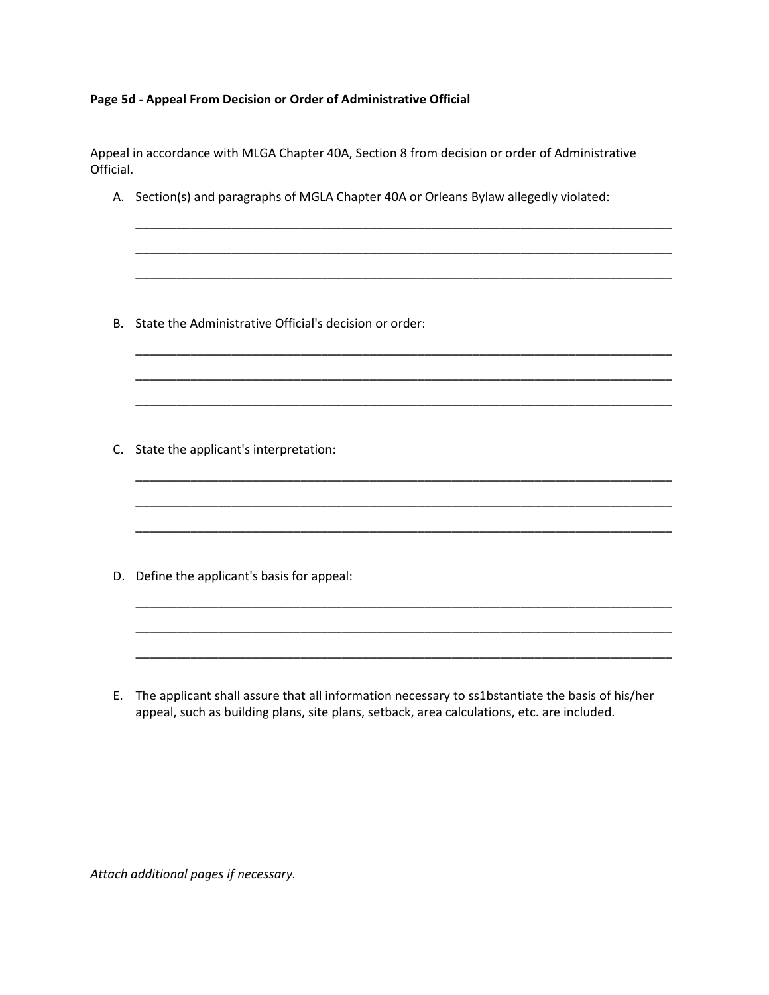## **Page 5d - Appeal From Decision or Order of Administrative Official**

Appeal in accordance with MLGA Chapter 40A, Section 8 from decision or order of Administrative Official.

A. Section(s) and paragraphs of MGLA Chapter 40A or Orleans Bylaw allegedly violated:

\_\_\_\_\_\_\_\_\_\_\_\_\_\_\_\_\_\_\_\_\_\_\_\_\_\_\_\_\_\_\_\_\_\_\_\_\_\_\_\_\_\_\_\_\_\_\_\_\_\_\_\_\_\_\_\_\_\_\_\_\_\_\_\_\_\_\_\_\_\_\_\_\_\_\_\_\_\_

\_\_\_\_\_\_\_\_\_\_\_\_\_\_\_\_\_\_\_\_\_\_\_\_\_\_\_\_\_\_\_\_\_\_\_\_\_\_\_\_\_\_\_\_\_\_\_\_\_\_\_\_\_\_\_\_\_\_\_\_\_\_\_\_\_\_\_\_\_\_\_\_\_\_\_\_\_\_

\_\_\_\_\_\_\_\_\_\_\_\_\_\_\_\_\_\_\_\_\_\_\_\_\_\_\_\_\_\_\_\_\_\_\_\_\_\_\_\_\_\_\_\_\_\_\_\_\_\_\_\_\_\_\_\_\_\_\_\_\_\_\_\_\_\_\_\_\_\_\_\_\_\_\_\_\_\_

\_\_\_\_\_\_\_\_\_\_\_\_\_\_\_\_\_\_\_\_\_\_\_\_\_\_\_\_\_\_\_\_\_\_\_\_\_\_\_\_\_\_\_\_\_\_\_\_\_\_\_\_\_\_\_\_\_\_\_\_\_\_\_\_\_\_\_\_\_\_\_\_\_\_\_\_\_\_

\_\_\_\_\_\_\_\_\_\_\_\_\_\_\_\_\_\_\_\_\_\_\_\_\_\_\_\_\_\_\_\_\_\_\_\_\_\_\_\_\_\_\_\_\_\_\_\_\_\_\_\_\_\_\_\_\_\_\_\_\_\_\_\_\_\_\_\_\_\_\_\_\_\_\_\_\_\_

\_\_\_\_\_\_\_\_\_\_\_\_\_\_\_\_\_\_\_\_\_\_\_\_\_\_\_\_\_\_\_\_\_\_\_\_\_\_\_\_\_\_\_\_\_\_\_\_\_\_\_\_\_\_\_\_\_\_\_\_\_\_\_\_\_\_\_\_\_\_\_\_\_\_\_\_\_\_

\_\_\_\_\_\_\_\_\_\_\_\_\_\_\_\_\_\_\_\_\_\_\_\_\_\_\_\_\_\_\_\_\_\_\_\_\_\_\_\_\_\_\_\_\_\_\_\_\_\_\_\_\_\_\_\_\_\_\_\_\_\_\_\_\_\_\_\_\_\_\_\_\_\_\_\_\_\_

\_\_\_\_\_\_\_\_\_\_\_\_\_\_\_\_\_\_\_\_\_\_\_\_\_\_\_\_\_\_\_\_\_\_\_\_\_\_\_\_\_\_\_\_\_\_\_\_\_\_\_\_\_\_\_\_\_\_\_\_\_\_\_\_\_\_\_\_\_\_\_\_\_\_\_\_\_\_

\_\_\_\_\_\_\_\_\_\_\_\_\_\_\_\_\_\_\_\_\_\_\_\_\_\_\_\_\_\_\_\_\_\_\_\_\_\_\_\_\_\_\_\_\_\_\_\_\_\_\_\_\_\_\_\_\_\_\_\_\_\_\_\_\_\_\_\_\_\_\_\_\_\_\_\_\_\_

\_\_\_\_\_\_\_\_\_\_\_\_\_\_\_\_\_\_\_\_\_\_\_\_\_\_\_\_\_\_\_\_\_\_\_\_\_\_\_\_\_\_\_\_\_\_\_\_\_\_\_\_\_\_\_\_\_\_\_\_\_\_\_\_\_\_\_\_\_\_\_\_\_\_\_\_\_\_

\_\_\_\_\_\_\_\_\_\_\_\_\_\_\_\_\_\_\_\_\_\_\_\_\_\_\_\_\_\_\_\_\_\_\_\_\_\_\_\_\_\_\_\_\_\_\_\_\_\_\_\_\_\_\_\_\_\_\_\_\_\_\_\_\_\_\_\_\_\_\_\_\_\_\_\_\_\_

\_\_\_\_\_\_\_\_\_\_\_\_\_\_\_\_\_\_\_\_\_\_\_\_\_\_\_\_\_\_\_\_\_\_\_\_\_\_\_\_\_\_\_\_\_\_\_\_\_\_\_\_\_\_\_\_\_\_\_\_\_\_\_\_\_\_\_\_\_\_\_\_\_\_\_\_\_\_

B. State the Administrative Official's decision or order:

C. State the applicant's interpretation:

D. Define the applicant's basis for appeal:

E. The applicant shall assure that all information necessary to ss1bstantiate the basis of his/her appeal, such as building plans, site plans, setback, area calculations, etc. are included.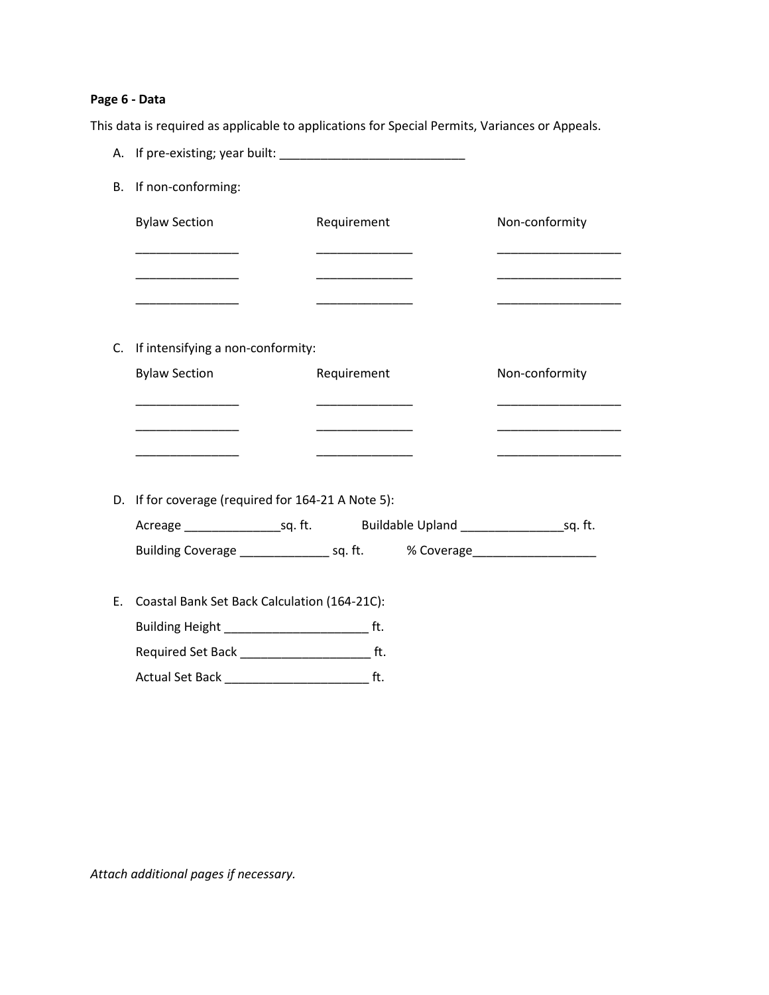#### **Page 6 - Data**

This data is required as applicable to applications for Special Permits, Variances or Appeals.

A. If pre-existing; year built: B. If non-conforming: Bylaw Section **Requirement** Non-conformity \_\_\_\_\_\_\_\_\_\_\_\_\_\_\_ \_\_\_\_\_\_\_\_\_\_\_\_\_\_ \_\_\_\_\_\_\_\_\_\_\_\_\_\_\_\_\_\_ \_\_\_\_\_\_\_\_\_\_\_\_\_\_\_ \_\_\_\_\_\_\_\_\_\_\_\_\_\_ \_\_\_\_\_\_\_\_\_\_\_\_\_\_\_\_\_\_ \_\_\_\_\_\_\_\_\_\_\_\_\_\_\_ \_\_\_\_\_\_\_\_\_\_\_\_\_\_ \_\_\_\_\_\_\_\_\_\_\_\_\_\_\_\_\_\_ C. If intensifying a non-conformity: Bylaw Section **Requirement Requirement** Non-conformity \_\_\_\_\_\_\_\_\_\_\_\_\_\_\_ \_\_\_\_\_\_\_\_\_\_\_\_\_\_ \_\_\_\_\_\_\_\_\_\_\_\_\_\_\_\_\_\_ \_\_\_\_\_\_\_\_\_\_\_\_\_\_\_ \_\_\_\_\_\_\_\_\_\_\_\_\_\_ \_\_\_\_\_\_\_\_\_\_\_\_\_\_\_\_\_\_ \_\_\_\_\_\_\_\_\_\_\_\_\_\_\_ \_\_\_\_\_\_\_\_\_\_\_\_\_\_ \_\_\_\_\_\_\_\_\_\_\_\_\_\_\_\_\_\_ D. If for coverage (required for 164-21 A Note 5): Acreage example and sq. ft. Buildable Upland and sq. ft. Building Coverage \_\_\_\_\_\_\_\_\_\_\_\_\_\_\_\_\_ sq. ft.  $\sim$  % Coverage\_\_\_\_\_\_\_\_\_\_\_\_\_\_\_\_\_\_\_\_\_ E. Coastal Bank Set Back Calculation (164-21C): Building Height \_\_\_\_\_\_\_\_\_\_\_\_\_\_\_\_\_\_\_\_\_ ft. Required Set Back \_\_\_\_\_\_\_\_\_\_\_\_\_\_\_\_\_\_\_ ft. Actual Set Back \_\_\_\_\_\_\_\_\_\_\_\_\_\_\_\_\_\_\_\_\_\_\_\_\_\_\_\_\_\_\_\_ ft.